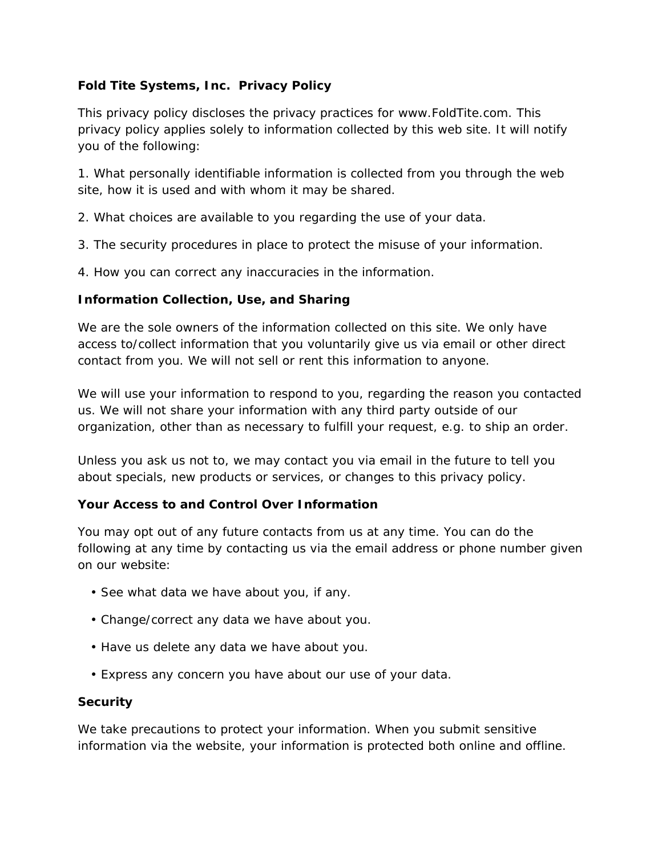# **Fold Tite Systems, Inc. Privacy Policy**

This privacy policy discloses the privacy practices for www.FoldTite.com. This privacy policy applies solely to information collected by this web site. It will notify you of the following:

1. What personally identifiable information is collected from you through the web site, how it is used and with whom it may be shared.

2. What choices are available to you regarding the use of your data.

3. The security procedures in place to protect the misuse of your information.

4. How you can correct any inaccuracies in the information.

# **Information Collection, Use, and Sharing**

We are the sole owners of the information collected on this site. We only have access to/collect information that you voluntarily give us via email or other direct contact from you. We will not sell or rent this information to anyone.

We will use your information to respond to you, regarding the reason you contacted us. We will not share your information with any third party outside of our organization, other than as necessary to fulfill your request, e.g. to ship an order.

Unless you ask us not to, we may contact you via email in the future to tell you about specials, new products or services, or changes to this privacy policy.

# **Your Access to and Control Over Information**

You may opt out of any future contacts from us at any time. You can do the following at any time by contacting us via the email address or phone number given on our website:

- See what data we have about you, if any.
- Change/correct any data we have about you.
- Have us delete any data we have about you.
- Express any concern you have about our use of your data.

### **Security**

We take precautions to protect your information. When you submit sensitive information via the website, your information is protected both online and offline.